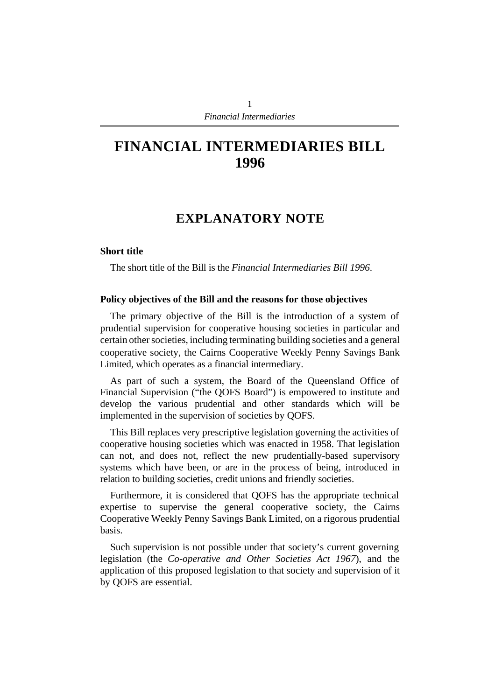# **FINANCIAL INTERMEDIARIES BILL 1996**

# **EXPLANATORY NOTE**

#### **Short title**

The short title of the Bill is the *Financial Intermediaries Bill 1996*.

#### **Policy objectives of the Bill and the reasons for those objectives**

The primary objective of the Bill is the introduction of a system of prudential supervision for cooperative housing societies in particular and certain other societies, including terminating building societies and a general cooperative society, the Cairns Cooperative Weekly Penny Savings Bank Limited, which operates as a financial intermediary.

As part of such a system, the Board of the Queensland Office of Financial Supervision ("the QOFS Board") is empowered to institute and develop the various prudential and other standards which will be implemented in the supervision of societies by QOFS.

This Bill replaces very prescriptive legislation governing the activities of cooperative housing societies which was enacted in 1958. That legislation can not, and does not, reflect the new prudentially-based supervisory systems which have been, or are in the process of being, introduced in relation to building societies, credit unions and friendly societies.

Furthermore, it is considered that QOFS has the appropriate technical expertise to supervise the general cooperative society, the Cairns Cooperative Weekly Penny Savings Bank Limited, on a rigorous prudential basis.

Such supervision is not possible under that society's current governing legislation (the *Co-operative and Other Societies Act 1967*), and the application of this proposed legislation to that society and supervision of it by QOFS are essential.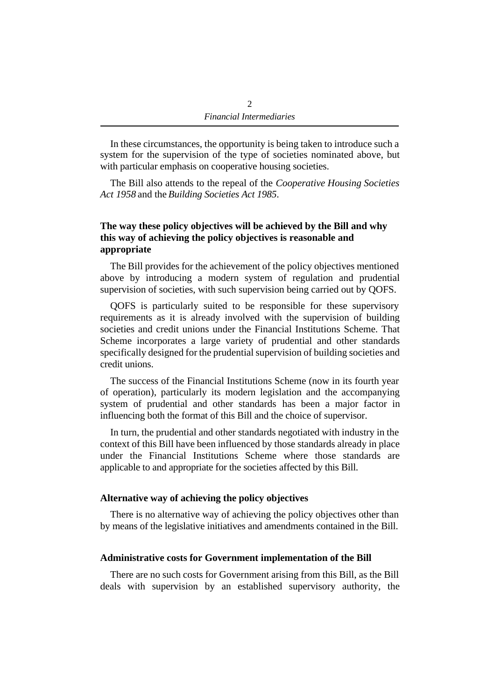In these circumstances, the opportunity is being taken to introduce such a system for the supervision of the type of societies nominated above, but with particular emphasis on cooperative housing societies.

The Bill also attends to the repeal of the *Cooperative Housing Societies Act 1958* and the *Building Societies Act 1985*.

### **The way these policy objectives will be achieved by the Bill and why this way of achieving the policy objectives is reasonable and appropriate**

The Bill provides for the achievement of the policy objectives mentioned above by introducing a modern system of regulation and prudential supervision of societies, with such supervision being carried out by QOFS.

QOFS is particularly suited to be responsible for these supervisory requirements as it is already involved with the supervision of building societies and credit unions under the Financial Institutions Scheme. That Scheme incorporates a large variety of prudential and other standards specifically designed for the prudential supervision of building societies and credit unions.

The success of the Financial Institutions Scheme (now in its fourth year of operation), particularly its modern legislation and the accompanying system of prudential and other standards has been a major factor in influencing both the format of this Bill and the choice of supervisor.

In turn, the prudential and other standards negotiated with industry in the context of this Bill have been influenced by those standards already in place under the Financial Institutions Scheme where those standards are applicable to and appropriate for the societies affected by this Bill.

#### **Alternative way of achieving the policy objectives**

There is no alternative way of achieving the policy objectives other than by means of the legislative initiatives and amendments contained in the Bill.

### **Administrative costs for Government implementation of the Bill**

There are no such costs for Government arising from this Bill, as the Bill deals with supervision by an established supervisory authority, the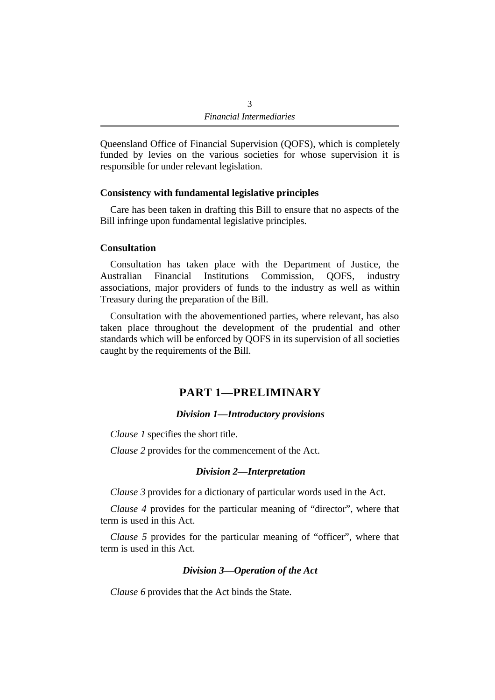Queensland Office of Financial Supervision (QOFS), which is completely funded by levies on the various societies for whose supervision it is responsible for under relevant legislation.

#### **Consistency with fundamental legislative principles**

Care has been taken in drafting this Bill to ensure that no aspects of the Bill infringe upon fundamental legislative principles.

#### **Consultation**

Consultation has taken place with the Department of Justice, the Australian Financial Institutions Commission, QOFS, industry associations, major providers of funds to the industry as well as within Treasury during the preparation of the Bill.

Consultation with the abovementioned parties, where relevant, has also taken place throughout the development of the prudential and other standards which will be enforced by QOFS in its supervision of all societies caught by the requirements of the Bill.

# **PART 1—PRELIMINARY**

#### *Division 1—Introductory provisions*

*Clause 1* specifies the short title.

*Clause 2* provides for the commencement of the Act.

#### *Division 2—Interpretation*

*Clause 3* provides for a dictionary of particular words used in the Act.

*Clause 4* provides for the particular meaning of "director", where that term is used in this Act.

*Clause 5* provides for the particular meaning of "officer", where that term is used in this Act.

### *Division 3—Operation of the Act*

*Clause 6* provides that the Act binds the State.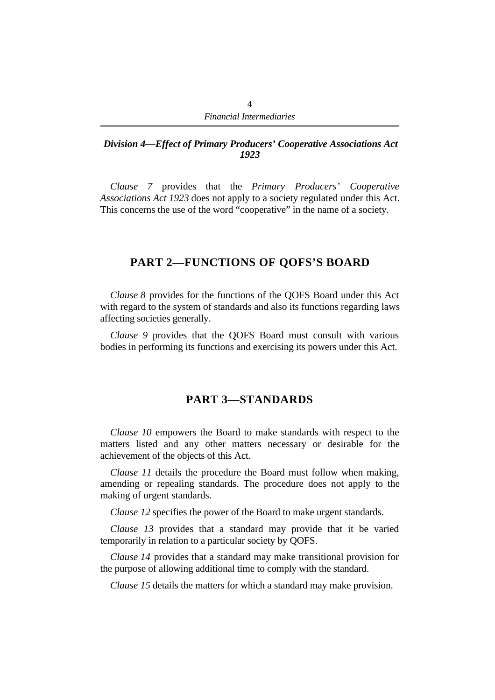#### *Division 4—Effect of Primary Producers' Cooperative Associations Act 1923*

*Clause 7* provides that the *Primary Producers' Cooperative Associations Act 1923* does not apply to a society regulated under this Act. This concerns the use of the word "cooperative" in the name of a society.

# **PART 2—FUNCTIONS OF QOFS'S BOARD**

*Clause 8* provides for the functions of the QOFS Board under this Act with regard to the system of standards and also its functions regarding laws affecting societies generally.

*Clause 9* provides that the QOFS Board must consult with various bodies in performing its functions and exercising its powers under this Act.

# **PART 3—STANDARDS**

*Clause 10* empowers the Board to make standards with respect to the matters listed and any other matters necessary or desirable for the achievement of the objects of this Act.

*Clause 11* details the procedure the Board must follow when making, amending or repealing standards. The procedure does not apply to the making of urgent standards.

*Clause 12* specifies the power of the Board to make urgent standards.

*Clause 13* provides that a standard may provide that it be varied temporarily in relation to a particular society by QOFS.

*Clause 14* provides that a standard may make transitional provision for the purpose of allowing additional time to comply with the standard.

*Clause 15* details the matters for which a standard may make provision.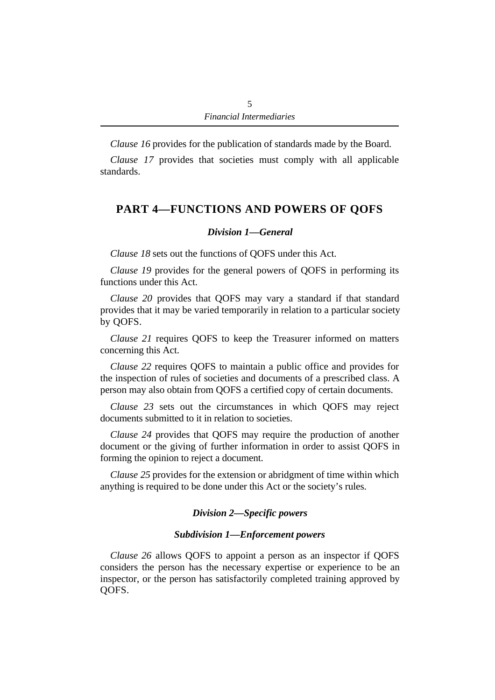*Clause 16* provides for the publication of standards made by the Board.

*Clause 17* provides that societies must comply with all applicable standards.

# **PART 4—FUNCTIONS AND POWERS OF QOFS**

# *Division 1—General*

*Clause 18* sets out the functions of QOFS under this Act.

*Clause 19* provides for the general powers of QOFS in performing its functions under this Act.

*Clause 20* provides that QOFS may vary a standard if that standard provides that it may be varied temporarily in relation to a particular society by QOFS.

*Clause 21* requires QOFS to keep the Treasurer informed on matters concerning this Act.

*Clause 22* requires QOFS to maintain a public office and provides for the inspection of rules of societies and documents of a prescribed class. A person may also obtain from QOFS a certified copy of certain documents.

*Clause 23* sets out the circumstances in which QOFS may reject documents submitted to it in relation to societies.

*Clause 24* provides that QOFS may require the production of another document or the giving of further information in order to assist QOFS in forming the opinion to reject a document.

*Clause 25* provides for the extension or abridgment of time within which anything is required to be done under this Act or the society's rules.

### *Division 2—Specific powers*

### *Subdivision 1—Enforcement powers*

*Clause 26* allows QOFS to appoint a person as an inspector if QOFS considers the person has the necessary expertise or experience to be an inspector, or the person has satisfactorily completed training approved by QOFS.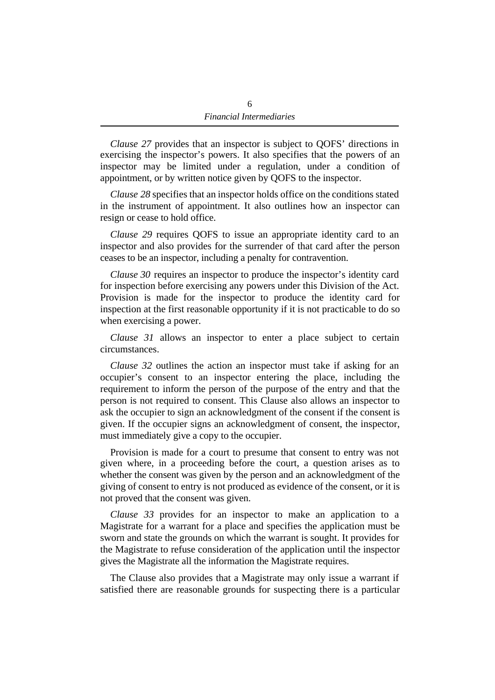*Clause 27* provides that an inspector is subject to QOFS' directions in exercising the inspector's powers. It also specifies that the powers of an inspector may be limited under a regulation, under a condition of appointment, or by written notice given by QOFS to the inspector.

*Clause 28* specifies that an inspector holds office on the conditions stated in the instrument of appointment. It also outlines how an inspector can resign or cease to hold office.

*Clause 29* requires QOFS to issue an appropriate identity card to an inspector and also provides for the surrender of that card after the person ceases to be an inspector, including a penalty for contravention.

*Clause 30* requires an inspector to produce the inspector's identity card for inspection before exercising any powers under this Division of the Act. Provision is made for the inspector to produce the identity card for inspection at the first reasonable opportunity if it is not practicable to do so when exercising a power.

*Clause 31* allows an inspector to enter a place subject to certain circumstances.

*Clause 32* outlines the action an inspector must take if asking for an occupier's consent to an inspector entering the place, including the requirement to inform the person of the purpose of the entry and that the person is not required to consent. This Clause also allows an inspector to ask the occupier to sign an acknowledgment of the consent if the consent is given. If the occupier signs an acknowledgment of consent, the inspector, must immediately give a copy to the occupier.

Provision is made for a court to presume that consent to entry was not given where, in a proceeding before the court, a question arises as to whether the consent was given by the person and an acknowledgment of the giving of consent to entry is not produced as evidence of the consent, or it is not proved that the consent was given.

*Clause 33* provides for an inspector to make an application to a Magistrate for a warrant for a place and specifies the application must be sworn and state the grounds on which the warrant is sought. It provides for the Magistrate to refuse consideration of the application until the inspector gives the Magistrate all the information the Magistrate requires.

The Clause also provides that a Magistrate may only issue a warrant if satisfied there are reasonable grounds for suspecting there is a particular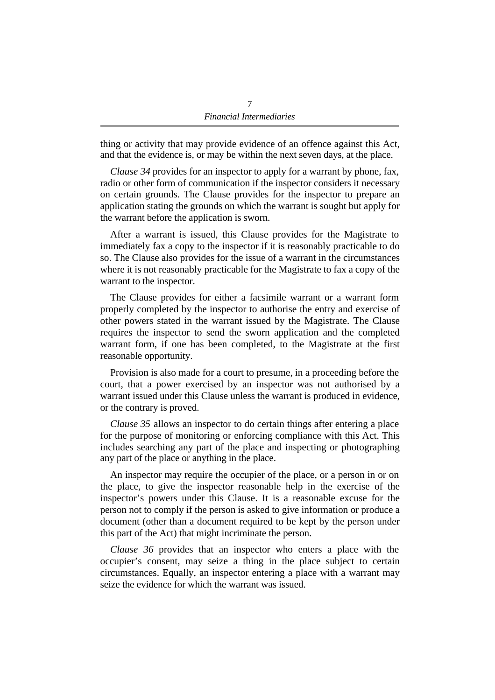thing or activity that may provide evidence of an offence against this Act, and that the evidence is, or may be within the next seven days, at the place.

*Clause 34* provides for an inspector to apply for a warrant by phone, fax, radio or other form of communication if the inspector considers it necessary on certain grounds. The Clause provides for the inspector to prepare an application stating the grounds on which the warrant is sought but apply for the warrant before the application is sworn.

After a warrant is issued, this Clause provides for the Magistrate to immediately fax a copy to the inspector if it is reasonably practicable to do so. The Clause also provides for the issue of a warrant in the circumstances where it is not reasonably practicable for the Magistrate to fax a copy of the warrant to the inspector.

The Clause provides for either a facsimile warrant or a warrant form properly completed by the inspector to authorise the entry and exercise of other powers stated in the warrant issued by the Magistrate. The Clause requires the inspector to send the sworn application and the completed warrant form, if one has been completed, to the Magistrate at the first reasonable opportunity.

Provision is also made for a court to presume, in a proceeding before the court, that a power exercised by an inspector was not authorised by a warrant issued under this Clause unless the warrant is produced in evidence, or the contrary is proved.

*Clause 35* allows an inspector to do certain things after entering a place for the purpose of monitoring or enforcing compliance with this Act. This includes searching any part of the place and inspecting or photographing any part of the place or anything in the place.

An inspector may require the occupier of the place, or a person in or on the place, to give the inspector reasonable help in the exercise of the inspector's powers under this Clause. It is a reasonable excuse for the person not to comply if the person is asked to give information or produce a document (other than a document required to be kept by the person under this part of the Act) that might incriminate the person.

*Clause 36* provides that an inspector who enters a place with the occupier's consent, may seize a thing in the place subject to certain circumstances. Equally, an inspector entering a place with a warrant may seize the evidence for which the warrant was issued.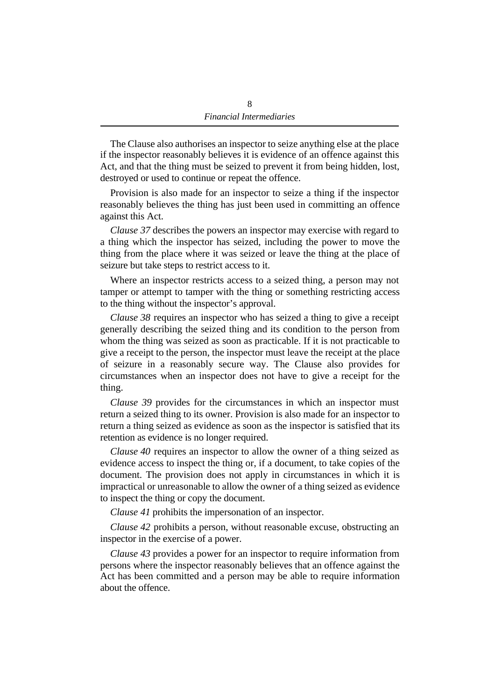The Clause also authorises an inspector to seize anything else at the place if the inspector reasonably believes it is evidence of an offence against this Act, and that the thing must be seized to prevent it from being hidden, lost, destroyed or used to continue or repeat the offence.

Provision is also made for an inspector to seize a thing if the inspector reasonably believes the thing has just been used in committing an offence against this Act.

*Clause 37* describes the powers an inspector may exercise with regard to a thing which the inspector has seized, including the power to move the thing from the place where it was seized or leave the thing at the place of seizure but take steps to restrict access to it.

Where an inspector restricts access to a seized thing, a person may not tamper or attempt to tamper with the thing or something restricting access to the thing without the inspector's approval.

*Clause 38* requires an inspector who has seized a thing to give a receipt generally describing the seized thing and its condition to the person from whom the thing was seized as soon as practicable. If it is not practicable to give a receipt to the person, the inspector must leave the receipt at the place of seizure in a reasonably secure way. The Clause also provides for circumstances when an inspector does not have to give a receipt for the thing.

*Clause 39* provides for the circumstances in which an inspector must return a seized thing to its owner. Provision is also made for an inspector to return a thing seized as evidence as soon as the inspector is satisfied that its retention as evidence is no longer required.

*Clause 40* requires an inspector to allow the owner of a thing seized as evidence access to inspect the thing or, if a document, to take copies of the document. The provision does not apply in circumstances in which it is impractical or unreasonable to allow the owner of a thing seized as evidence to inspect the thing or copy the document.

*Clause 41* prohibits the impersonation of an inspector.

*Clause 42* prohibits a person, without reasonable excuse, obstructing an inspector in the exercise of a power.

*Clause 43* provides a power for an inspector to require information from persons where the inspector reasonably believes that an offence against the Act has been committed and a person may be able to require information about the offence.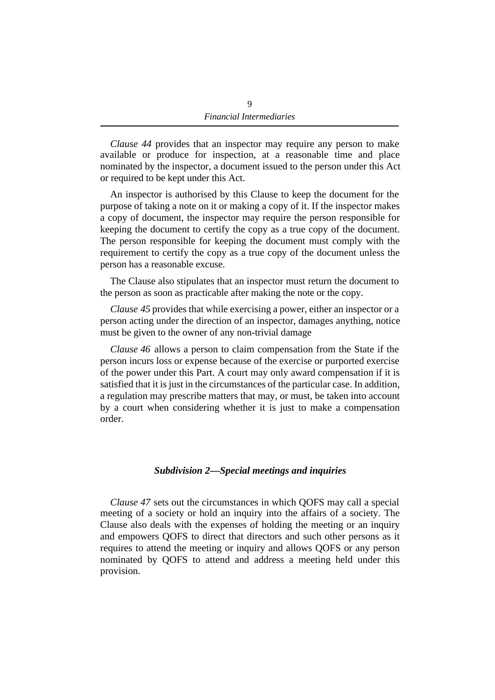*Clause 44* provides that an inspector may require any person to make available or produce for inspection, at a reasonable time and place nominated by the inspector, a document issued to the person under this Act or required to be kept under this Act.

An inspector is authorised by this Clause to keep the document for the purpose of taking a note on it or making a copy of it. If the inspector makes a copy of document, the inspector may require the person responsible for keeping the document to certify the copy as a true copy of the document. The person responsible for keeping the document must comply with the requirement to certify the copy as a true copy of the document unless the person has a reasonable excuse.

The Clause also stipulates that an inspector must return the document to the person as soon as practicable after making the note or the copy.

*Clause 45* provides that while exercising a power, either an inspector or a person acting under the direction of an inspector, damages anything, notice must be given to the owner of any non-trivial damage

*Clause 46* allows a person to claim compensation from the State if the person incurs loss or expense because of the exercise or purported exercise of the power under this Part. A court may only award compensation if it is satisfied that it is just in the circumstances of the particular case. In addition, a regulation may prescribe matters that may, or must, be taken into account by a court when considering whether it is just to make a compensation order.

#### *Subdivision 2—Special meetings and inquiries*

*Clause 47* sets out the circumstances in which QOFS may call a special meeting of a society or hold an inquiry into the affairs of a society. The Clause also deals with the expenses of holding the meeting or an inquiry and empowers QOFS to direct that directors and such other persons as it requires to attend the meeting or inquiry and allows QOFS or any person nominated by QOFS to attend and address a meeting held under this provision.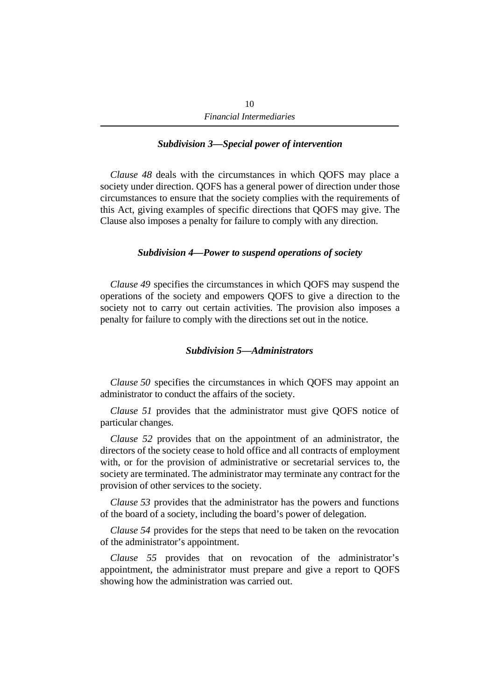#### *Subdivision 3—Special power of intervention*

*Clause 48* deals with the circumstances in which QOFS may place a society under direction. QOFS has a general power of direction under those circumstances to ensure that the society complies with the requirements of this Act, giving examples of specific directions that QOFS may give. The Clause also imposes a penalty for failure to comply with any direction.

#### *Subdivision 4—Power to suspend operations of society*

*Clause 49* specifies the circumstances in which QOFS may suspend the operations of the society and empowers QOFS to give a direction to the society not to carry out certain activities. The provision also imposes a penalty for failure to comply with the directions set out in the notice.

#### *Subdivision 5—Administrators*

*Clause 50* specifies the circumstances in which QOFS may appoint an administrator to conduct the affairs of the society.

*Clause 51* provides that the administrator must give QOFS notice of particular changes.

*Clause 52* provides that on the appointment of an administrator, the directors of the society cease to hold office and all contracts of employment with, or for the provision of administrative or secretarial services to, the society are terminated. The administrator may terminate any contract for the provision of other services to the society.

*Clause 53* provides that the administrator has the powers and functions of the board of a society, including the board's power of delegation.

*Clause 54* provides for the steps that need to be taken on the revocation of the administrator's appointment.

*Clause 55* provides that on revocation of the administrator's appointment, the administrator must prepare and give a report to QOFS showing how the administration was carried out.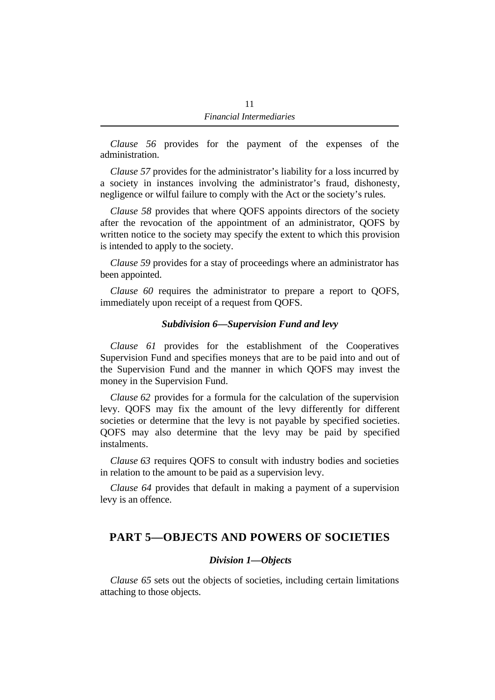*Clause 56* provides for the payment of the expenses of the administration.

*Clause 57* provides for the administrator's liability for a loss incurred by a society in instances involving the administrator's fraud, dishonesty, negligence or wilful failure to comply with the Act or the society's rules.

*Clause 58* provides that where QOFS appoints directors of the society after the revocation of the appointment of an administrator, QOFS by written notice to the society may specify the extent to which this provision is intended to apply to the society.

*Clause 59* provides for a stay of proceedings where an administrator has been appointed.

*Clause 60* requires the administrator to prepare a report to QOFS, immediately upon receipt of a request from QOFS.

#### *Subdivision 6—Supervision Fund and levy*

*Clause 61* provides for the establishment of the Cooperatives Supervision Fund and specifies moneys that are to be paid into and out of the Supervision Fund and the manner in which QOFS may invest the money in the Supervision Fund.

*Clause 62* provides for a formula for the calculation of the supervision levy. QOFS may fix the amount of the levy differently for different societies or determine that the levy is not payable by specified societies. QOFS may also determine that the levy may be paid by specified instalments.

*Clause 63* requires QOFS to consult with industry bodies and societies in relation to the amount to be paid as a supervision levy.

*Clause 64* provides that default in making a payment of a supervision levy is an offence.

# **PART 5—OBJECTS AND POWERS OF SOCIETIES**

#### *Division 1—Objects*

*Clause 65* sets out the objects of societies, including certain limitations attaching to those objects.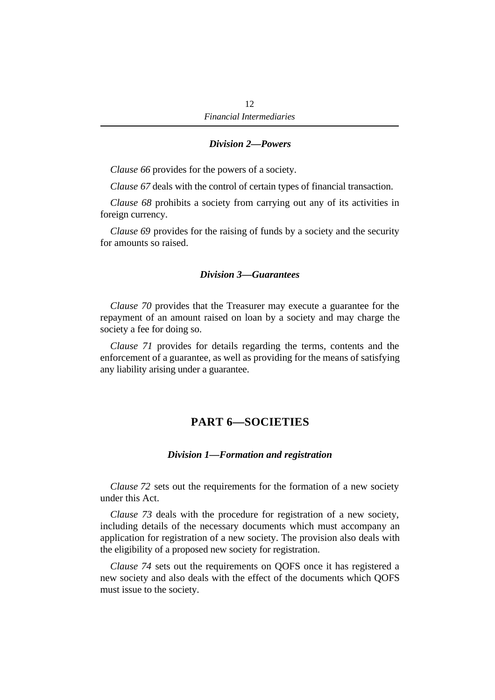#### *Division 2—Powers*

*Clause 66* provides for the powers of a society.

*Clause 67* deals with the control of certain types of financial transaction.

*Clause 68* prohibits a society from carrying out any of its activities in foreign currency.

*Clause 69* provides for the raising of funds by a society and the security for amounts so raised.

#### *Division 3—Guarantees*

*Clause 70* provides that the Treasurer may execute a guarantee for the repayment of an amount raised on loan by a society and may charge the society a fee for doing so.

*Clause 71* provides for details regarding the terms, contents and the enforcement of a guarantee, as well as providing for the means of satisfying any liability arising under a guarantee.

# **PART 6—SOCIETIES**

#### *Division 1—Formation and registration*

*Clause 72* sets out the requirements for the formation of a new society under this Act.

*Clause 73* deals with the procedure for registration of a new society, including details of the necessary documents which must accompany an application for registration of a new society. The provision also deals with the eligibility of a proposed new society for registration.

*Clause 74* sets out the requirements on QOFS once it has registered a new society and also deals with the effect of the documents which QOFS must issue to the society.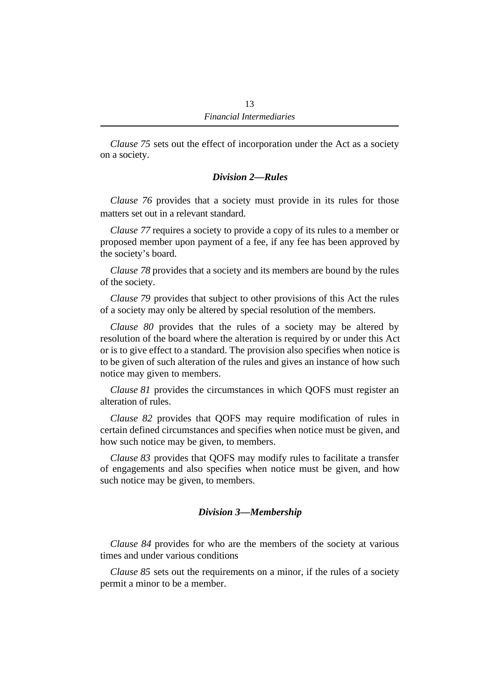*Clause 75* sets out the effect of incorporation under the Act as a society on a society.

### *Division 2—Rules*

*Clause 76* provides that a society must provide in its rules for those matters set out in a relevant standard.

*Clause 77* requires a society to provide a copy of its rules to a member or proposed member upon payment of a fee, if any fee has been approved by the society's board.

*Clause 78* provides that a society and its members are bound by the rules of the society.

*Clause 79* provides that subject to other provisions of this Act the rules of a society may only be altered by special resolution of the members.

*Clause 80* provides that the rules of a society may be altered by resolution of the board where the alteration is required by or under this Act or is to give effect to a standard. The provision also specifies when notice is to be given of such alteration of the rules and gives an instance of how such notice may given to members.

*Clause 81* provides the circumstances in which QOFS must register an alteration of rules.

*Clause 82* provides that QOFS may require modification of rules in certain defined circumstances and specifies when notice must be given, and how such notice may be given, to members.

*Clause 83* provides that QOFS may modify rules to facilitate a transfer of engagements and also specifies when notice must be given, and how such notice may be given, to members.

### *Division 3—Membership*

*Clause 84* provides for who are the members of the society at various times and under various conditions

*Clause 85* sets out the requirements on a minor, if the rules of a society permit a minor to be a member.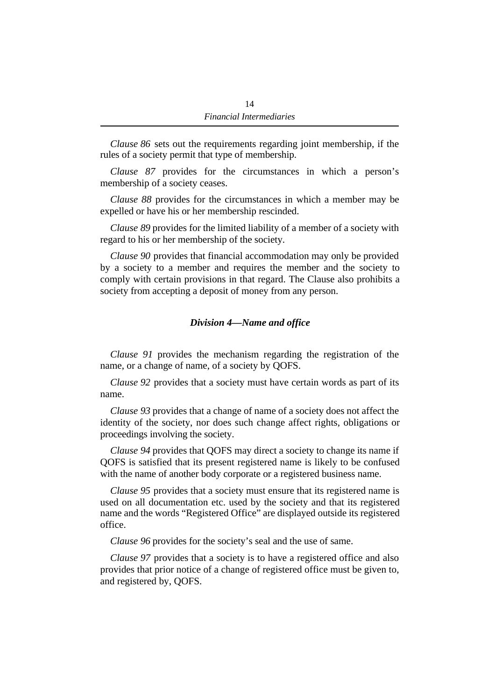*Clause 86* sets out the requirements regarding joint membership, if the rules of a society permit that type of membership.

*Clause 87* provides for the circumstances in which a person's membership of a society ceases.

*Clause 88* provides for the circumstances in which a member may be expelled or have his or her membership rescinded.

*Clause 89* provides for the limited liability of a member of a society with regard to his or her membership of the society.

*Clause 90* provides that financial accommodation may only be provided by a society to a member and requires the member and the society to comply with certain provisions in that regard. The Clause also prohibits a society from accepting a deposit of money from any person.

### *Division 4—Name and office*

*Clause 91* provides the mechanism regarding the registration of the name, or a change of name, of a society by QOFS.

*Clause 92* provides that a society must have certain words as part of its name.

*Clause 93* provides that a change of name of a society does not affect the identity of the society, nor does such change affect rights, obligations or proceedings involving the society.

*Clause 94* provides that QOFS may direct a society to change its name if QOFS is satisfied that its present registered name is likely to be confused with the name of another body corporate or a registered business name.

*Clause 95* provides that a society must ensure that its registered name is used on all documentation etc. used by the society and that its registered name and the words "Registered Office" are displayed outside its registered office.

*Clause 96* provides for the society's seal and the use of same.

*Clause 97* provides that a society is to have a registered office and also provides that prior notice of a change of registered office must be given to, and registered by, QOFS.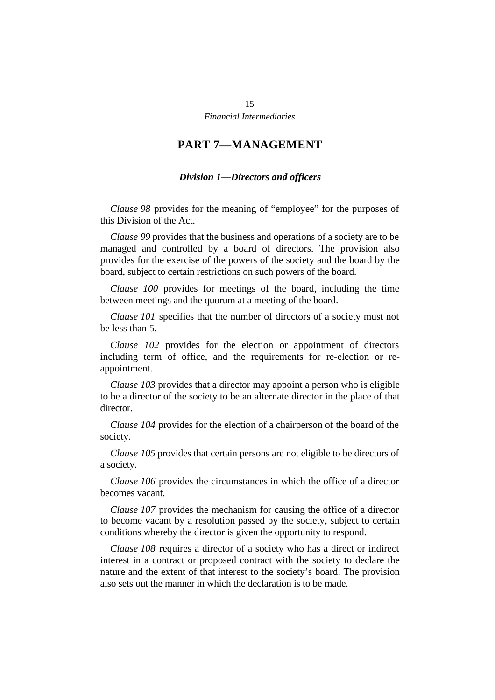# **PART 7—MANAGEMENT**

### *Division 1—Directors and officers*

*Clause 98* provides for the meaning of "employee" for the purposes of this Division of the Act.

*Clause 99* provides that the business and operations of a society are to be managed and controlled by a board of directors. The provision also provides for the exercise of the powers of the society and the board by the board, subject to certain restrictions on such powers of the board.

*Clause 100* provides for meetings of the board, including the time between meetings and the quorum at a meeting of the board.

*Clause 101* specifies that the number of directors of a society must not be less than 5.

*Clause 102* provides for the election or appointment of directors including term of office, and the requirements for re-election or reappointment.

*Clause 103* provides that a director may appoint a person who is eligible to be a director of the society to be an alternate director in the place of that director.

*Clause 104* provides for the election of a chairperson of the board of the society.

*Clause 105* provides that certain persons are not eligible to be directors of a society.

*Clause 106* provides the circumstances in which the office of a director becomes vacant.

*Clause 107* provides the mechanism for causing the office of a director to become vacant by a resolution passed by the society, subject to certain conditions whereby the director is given the opportunity to respond.

*Clause 108* requires a director of a society who has a direct or indirect interest in a contract or proposed contract with the society to declare the nature and the extent of that interest to the society's board. The provision also sets out the manner in which the declaration is to be made.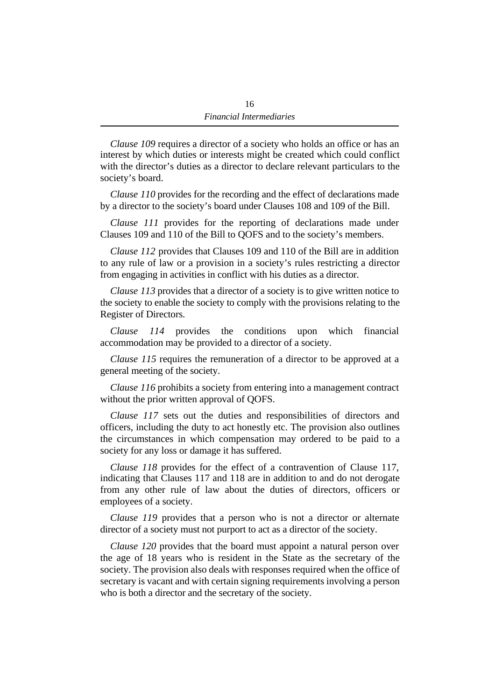*Clause 109* requires a director of a society who holds an office or has an interest by which duties or interests might be created which could conflict with the director's duties as a director to declare relevant particulars to the society's board.

*Clause 110* provides for the recording and the effect of declarations made by a director to the society's board under Clauses 108 and 109 of the Bill.

*Clause 111* provides for the reporting of declarations made under Clauses 109 and 110 of the Bill to QOFS and to the society's members.

*Clause 112* provides that Clauses 109 and 110 of the Bill are in addition to any rule of law or a provision in a society's rules restricting a director from engaging in activities in conflict with his duties as a director.

*Clause 113* provides that a director of a society is to give written notice to the society to enable the society to comply with the provisions relating to the Register of Directors.

*Clause 114* provides the conditions upon which financial accommodation may be provided to a director of a society.

*Clause 115* requires the remuneration of a director to be approved at a general meeting of the society.

*Clause 116* prohibits a society from entering into a management contract without the prior written approval of QOFS.

*Clause 117* sets out the duties and responsibilities of directors and officers, including the duty to act honestly etc. The provision also outlines the circumstances in which compensation may ordered to be paid to a society for any loss or damage it has suffered.

*Clause 118* provides for the effect of a contravention of Clause 117, indicating that Clauses 117 and 118 are in addition to and do not derogate from any other rule of law about the duties of directors, officers or employees of a society.

*Clause 119* provides that a person who is not a director or alternate director of a society must not purport to act as a director of the society.

*Clause 120* provides that the board must appoint a natural person over the age of 18 years who is resident in the State as the secretary of the society. The provision also deals with responses required when the office of secretary is vacant and with certain signing requirements involving a person who is both a director and the secretary of the society.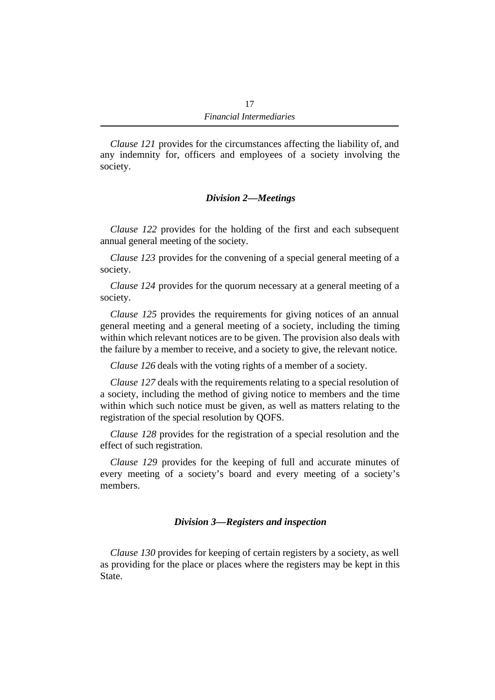*Clause 121* provides for the circumstances affecting the liability of, and any indemnity for, officers and employees of a society involving the society.

### *Division 2—Meetings*

*Clause 122* provides for the holding of the first and each subsequent annual general meeting of the society.

*Clause 123* provides for the convening of a special general meeting of a society.

*Clause 124* provides for the quorum necessary at a general meeting of a society.

*Clause 125* provides the requirements for giving notices of an annual general meeting and a general meeting of a society, including the timing within which relevant notices are to be given. The provision also deals with the failure by a member to receive, and a society to give, the relevant notice.

*Clause 126* deals with the voting rights of a member of a society.

*Clause 127* deals with the requirements relating to a special resolution of a society, including the method of giving notice to members and the time within which such notice must be given, as well as matters relating to the registration of the special resolution by QOFS.

*Clause 128* provides for the registration of a special resolution and the effect of such registration.

*Clause 129* provides for the keeping of full and accurate minutes of every meeting of a society's board and every meeting of a society's members.

### *Division 3—Registers and inspection*

*Clause 130* provides for keeping of certain registers by a society, as well as providing for the place or places where the registers may be kept in this State.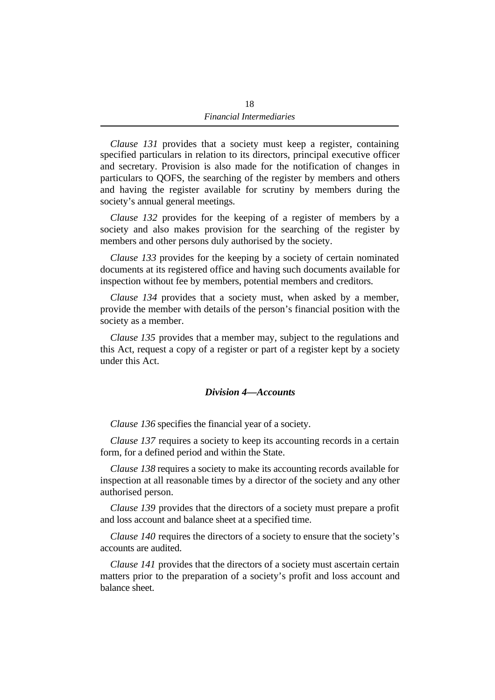*Clause 131* provides that a society must keep a register, containing specified particulars in relation to its directors, principal executive officer and secretary. Provision is also made for the notification of changes in particulars to QOFS, the searching of the register by members and others and having the register available for scrutiny by members during the society's annual general meetings.

*Clause 132* provides for the keeping of a register of members by a society and also makes provision for the searching of the register by members and other persons duly authorised by the society.

*Clause 133* provides for the keeping by a society of certain nominated documents at its registered office and having such documents available for inspection without fee by members, potential members and creditors.

*Clause 134* provides that a society must, when asked by a member, provide the member with details of the person's financial position with the society as a member.

*Clause 135* provides that a member may, subject to the regulations and this Act, request a copy of a register or part of a register kept by a society under this Act.

### *Division 4—Accounts*

*Clause 136* specifies the financial year of a society.

*Clause 137* requires a society to keep its accounting records in a certain form, for a defined period and within the State.

*Clause 138* requires a society to make its accounting records available for inspection at all reasonable times by a director of the society and any other authorised person.

*Clause 139* provides that the directors of a society must prepare a profit and loss account and balance sheet at a specified time.

*Clause 140* requires the directors of a society to ensure that the society's accounts are audited.

*Clause 141* provides that the directors of a society must ascertain certain matters prior to the preparation of a society's profit and loss account and balance sheet.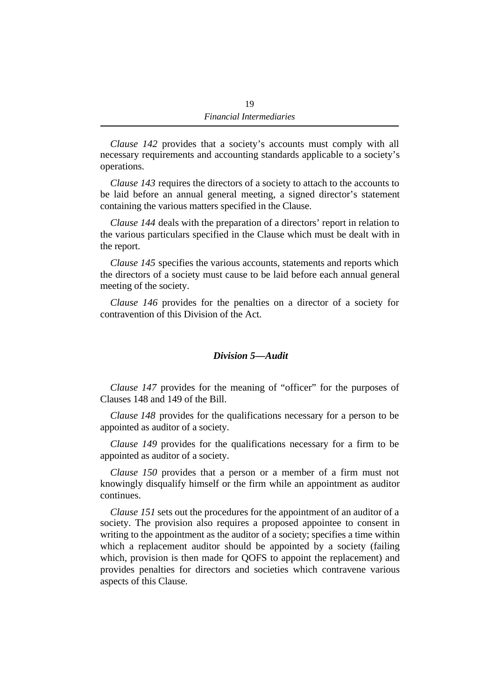*Clause 142* provides that a society's accounts must comply with all necessary requirements and accounting standards applicable to a society's operations.

*Clause 143* requires the directors of a society to attach to the accounts to be laid before an annual general meeting, a signed director's statement containing the various matters specified in the Clause.

*Clause 144* deals with the preparation of a directors' report in relation to the various particulars specified in the Clause which must be dealt with in the report.

*Clause 145* specifies the various accounts, statements and reports which the directors of a society must cause to be laid before each annual general meeting of the society.

*Clause 146* provides for the penalties on a director of a society for contravention of this Division of the Act.

#### *Division 5—Audit*

*Clause 147* provides for the meaning of "officer" for the purposes of Clauses 148 and 149 of the Bill.

*Clause 148* provides for the qualifications necessary for a person to be appointed as auditor of a society.

*Clause 149* provides for the qualifications necessary for a firm to be appointed as auditor of a society.

*Clause 150* provides that a person or a member of a firm must not knowingly disqualify himself or the firm while an appointment as auditor continues.

*Clause 151* sets out the procedures for the appointment of an auditor of a society. The provision also requires a proposed appointee to consent in writing to the appointment as the auditor of a society; specifies a time within which a replacement auditor should be appointed by a society (failing which, provision is then made for QOFS to appoint the replacement) and provides penalties for directors and societies which contravene various aspects of this Clause.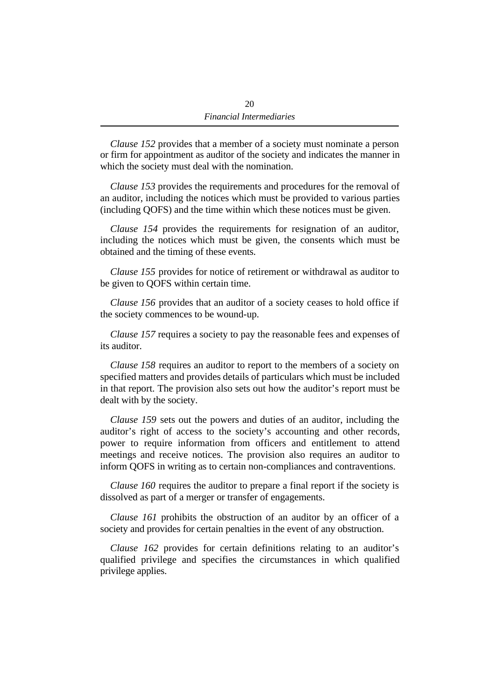*Clause 152* provides that a member of a society must nominate a person or firm for appointment as auditor of the society and indicates the manner in which the society must deal with the nomination.

*Clause 153* provides the requirements and procedures for the removal of an auditor, including the notices which must be provided to various parties (including QOFS) and the time within which these notices must be given.

*Clause 154* provides the requirements for resignation of an auditor, including the notices which must be given, the consents which must be obtained and the timing of these events.

*Clause 155* provides for notice of retirement or withdrawal as auditor to be given to QOFS within certain time.

*Clause 156* provides that an auditor of a society ceases to hold office if the society commences to be wound-up.

*Clause 157* requires a society to pay the reasonable fees and expenses of its auditor.

*Clause 158* requires an auditor to report to the members of a society on specified matters and provides details of particulars which must be included in that report. The provision also sets out how the auditor's report must be dealt with by the society.

*Clause 159* sets out the powers and duties of an auditor, including the auditor's right of access to the society's accounting and other records, power to require information from officers and entitlement to attend meetings and receive notices. The provision also requires an auditor to inform QOFS in writing as to certain non-compliances and contraventions.

*Clause 160* requires the auditor to prepare a final report if the society is dissolved as part of a merger or transfer of engagements.

*Clause 161* prohibits the obstruction of an auditor by an officer of a society and provides for certain penalties in the event of any obstruction.

*Clause 162* provides for certain definitions relating to an auditor's qualified privilege and specifies the circumstances in which qualified privilege applies.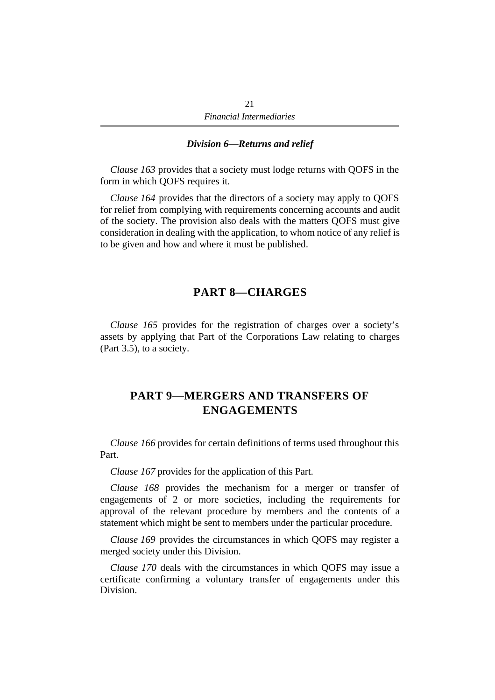#### *Division 6—Returns and relief*

*Clause 163* provides that a society must lodge returns with QOFS in the form in which QOFS requires it.

*Clause 164* provides that the directors of a society may apply to QOFS for relief from complying with requirements concerning accounts and audit of the society. The provision also deals with the matters QOFS must give consideration in dealing with the application, to whom notice of any relief is to be given and how and where it must be published.

### **PART 8—CHARGES**

*Clause 165* provides for the registration of charges over a society's assets by applying that Part of the Corporations Law relating to charges (Part 3.5), to a society.

# **PART 9—MERGERS AND TRANSFERS OF ENGAGEMENTS**

*Clause 166* provides for certain definitions of terms used throughout this Part.

*Clause 167* provides for the application of this Part.

*Clause 168* provides the mechanism for a merger or transfer of engagements of 2 or more societies, including the requirements for approval of the relevant procedure by members and the contents of a statement which might be sent to members under the particular procedure.

*Clause 169* provides the circumstances in which QOFS may register a merged society under this Division.

*Clause 170* deals with the circumstances in which QOFS may issue a certificate confirming a voluntary transfer of engagements under this Division.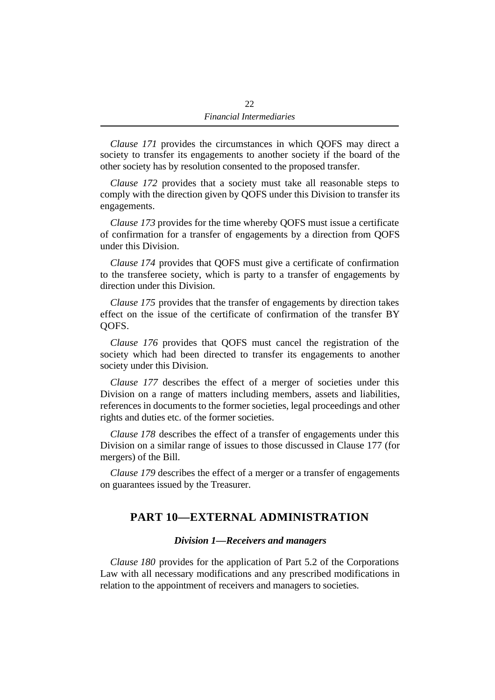*Clause 171* provides the circumstances in which QOFS may direct a society to transfer its engagements to another society if the board of the other society has by resolution consented to the proposed transfer.

*Clause 172* provides that a society must take all reasonable steps to comply with the direction given by QOFS under this Division to transfer its engagements.

*Clause 173* provides for the time whereby QOFS must issue a certificate of confirmation for a transfer of engagements by a direction from QOFS under this Division.

*Clause 174* provides that QOFS must give a certificate of confirmation to the transferee society, which is party to a transfer of engagements by direction under this Division.

*Clause 175* provides that the transfer of engagements by direction takes effect on the issue of the certificate of confirmation of the transfer BY QOFS.

*Clause 176* provides that QOFS must cancel the registration of the society which had been directed to transfer its engagements to another society under this Division.

*Clause 177* describes the effect of a merger of societies under this Division on a range of matters including members, assets and liabilities, references in documents to the former societies, legal proceedings and other rights and duties etc. of the former societies.

*Clause 178* describes the effect of a transfer of engagements under this Division on a similar range of issues to those discussed in Clause 177 (for mergers) of the Bill.

*Clause 179* describes the effect of a merger or a transfer of engagements on guarantees issued by the Treasurer.

# **PART 10—EXTERNAL ADMINISTRATION**

#### *Division 1—Receivers and managers*

*Clause 180* provides for the application of Part 5.2 of the Corporations Law with all necessary modifications and any prescribed modifications in relation to the appointment of receivers and managers to societies.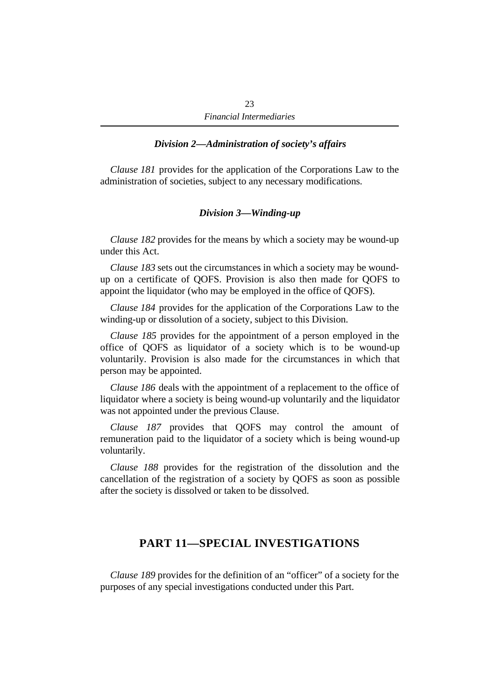### *Division 2—Administration of society's affairs*

*Clause 181* provides for the application of the Corporations Law to the administration of societies, subject to any necessary modifications.

#### *Division 3—Winding-up*

*Clause 182* provides for the means by which a society may be wound-up under this Act.

*Clause 183* sets out the circumstances in which a society may be woundup on a certificate of QOFS. Provision is also then made for QOFS to appoint the liquidator (who may be employed in the office of QOFS).

*Clause 184* provides for the application of the Corporations Law to the winding-up or dissolution of a society, subject to this Division.

*Clause 185* provides for the appointment of a person employed in the office of QOFS as liquidator of a society which is to be wound-up voluntarily. Provision is also made for the circumstances in which that person may be appointed.

*Clause 186* deals with the appointment of a replacement to the office of liquidator where a society is being wound-up voluntarily and the liquidator was not appointed under the previous Clause.

*Clause 187* provides that QOFS may control the amount of remuneration paid to the liquidator of a society which is being wound-up voluntarily.

*Clause 188* provides for the registration of the dissolution and the cancellation of the registration of a society by QOFS as soon as possible after the society is dissolved or taken to be dissolved.

# **PART 11—SPECIAL INVESTIGATIONS**

*Clause 189* provides for the definition of an "officer" of a society for the purposes of any special investigations conducted under this Part.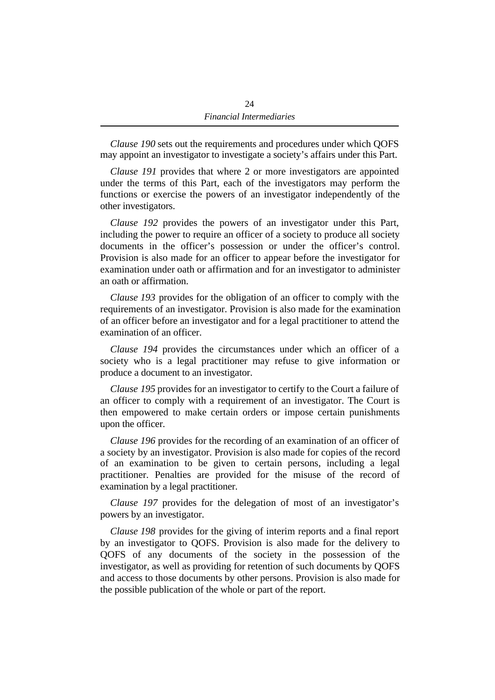*Clause 190* sets out the requirements and procedures under which QOFS may appoint an investigator to investigate a society's affairs under this Part.

*Clause 191* provides that where 2 or more investigators are appointed under the terms of this Part, each of the investigators may perform the functions or exercise the powers of an investigator independently of the other investigators.

*Clause 192* provides the powers of an investigator under this Part, including the power to require an officer of a society to produce all society documents in the officer's possession or under the officer's control. Provision is also made for an officer to appear before the investigator for examination under oath or affirmation and for an investigator to administer an oath or affirmation.

*Clause 193* provides for the obligation of an officer to comply with the requirements of an investigator. Provision is also made for the examination of an officer before an investigator and for a legal practitioner to attend the examination of an officer.

*Clause 194* provides the circumstances under which an officer of a society who is a legal practitioner may refuse to give information or produce a document to an investigator.

*Clause 195* provides for an investigator to certify to the Court a failure of an officer to comply with a requirement of an investigator. The Court is then empowered to make certain orders or impose certain punishments upon the officer.

*Clause 196* provides for the recording of an examination of an officer of a society by an investigator. Provision is also made for copies of the record of an examination to be given to certain persons, including a legal practitioner. Penalties are provided for the misuse of the record of examination by a legal practitioner.

*Clause 197* provides for the delegation of most of an investigator's powers by an investigator.

*Clause 198* provides for the giving of interim reports and a final report by an investigator to QOFS. Provision is also made for the delivery to QOFS of any documents of the society in the possession of the investigator, as well as providing for retention of such documents by QOFS and access to those documents by other persons. Provision is also made for the possible publication of the whole or part of the report.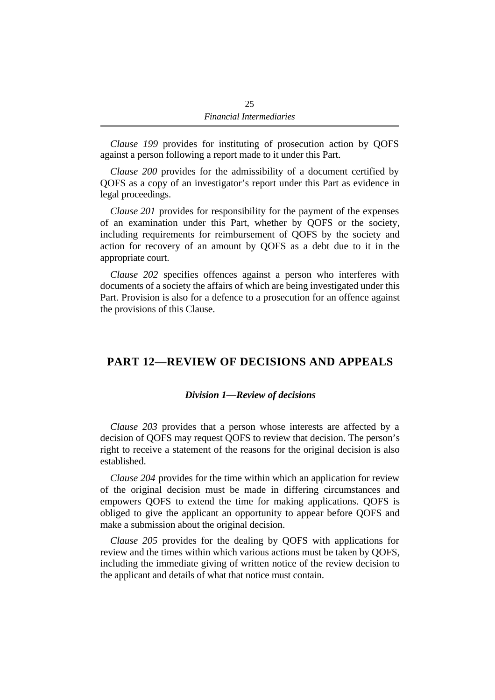*Clause 199* provides for instituting of prosecution action by QOFS against a person following a report made to it under this Part.

*Clause 200* provides for the admissibility of a document certified by QOFS as a copy of an investigator's report under this Part as evidence in legal proceedings.

*Clause 201* provides for responsibility for the payment of the expenses of an examination under this Part, whether by QOFS or the society, including requirements for reimbursement of QOFS by the society and action for recovery of an amount by QOFS as a debt due to it in the appropriate court.

*Clause 202* specifies offences against a person who interferes with documents of a society the affairs of which are being investigated under this Part. Provision is also for a defence to a prosecution for an offence against the provisions of this Clause.

# **PART 12—REVIEW OF DECISIONS AND APPEALS**

#### *Division 1—Review of decisions*

*Clause 203* provides that a person whose interests are affected by a decision of QOFS may request QOFS to review that decision. The person's right to receive a statement of the reasons for the original decision is also established.

*Clause 204* provides for the time within which an application for review of the original decision must be made in differing circumstances and empowers QOFS to extend the time for making applications. QOFS is obliged to give the applicant an opportunity to appear before QOFS and make a submission about the original decision.

*Clause 205* provides for the dealing by QOFS with applications for review and the times within which various actions must be taken by QOFS, including the immediate giving of written notice of the review decision to the applicant and details of what that notice must contain.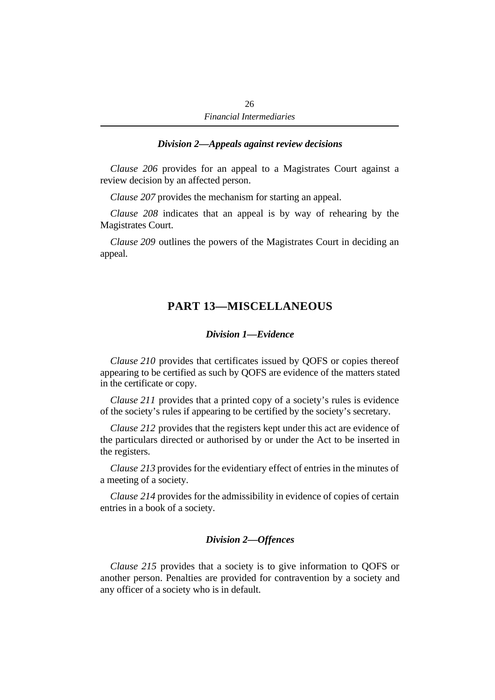#### *Division 2—Appeals against review decisions*

*Clause 206* provides for an appeal to a Magistrates Court against a review decision by an affected person.

*Clause 207* provides the mechanism for starting an appeal.

*Clause 208* indicates that an appeal is by way of rehearing by the Magistrates Court.

*Clause 209* outlines the powers of the Magistrates Court in deciding an appeal.

# **PART 13—MISCELLANEOUS**

#### *Division 1—Evidence*

*Clause 210* provides that certificates issued by QOFS or copies thereof appearing to be certified as such by QOFS are evidence of the matters stated in the certificate or copy.

*Clause 211* provides that a printed copy of a society's rules is evidence of the society's rules if appearing to be certified by the society's secretary.

*Clause 212* provides that the registers kept under this act are evidence of the particulars directed or authorised by or under the Act to be inserted in the registers.

*Clause 213* provides for the evidentiary effect of entries in the minutes of a meeting of a society.

*Clause 214* provides for the admissibility in evidence of copies of certain entries in a book of a society.

### *Division 2—Offences*

*Clause 215* provides that a society is to give information to QOFS or another person. Penalties are provided for contravention by a society and any officer of a society who is in default.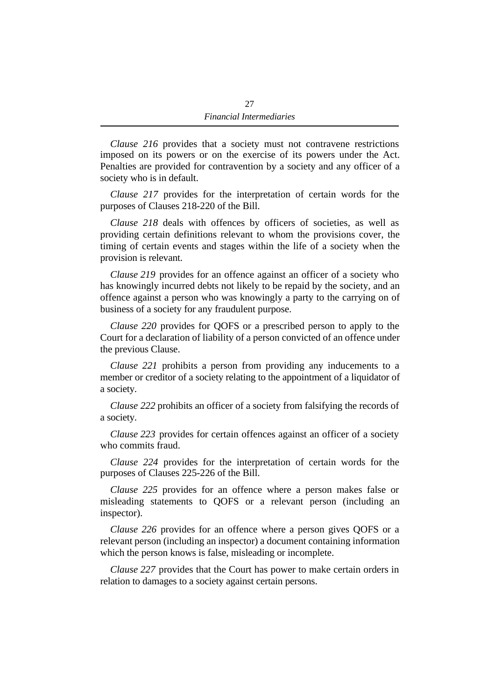*Clause 216* provides that a society must not contravene restrictions imposed on its powers or on the exercise of its powers under the Act. Penalties are provided for contravention by a society and any officer of a society who is in default.

*Clause 217* provides for the interpretation of certain words for the purposes of Clauses 218-220 of the Bill.

*Clause 218* deals with offences by officers of societies, as well as providing certain definitions relevant to whom the provisions cover, the timing of certain events and stages within the life of a society when the provision is relevant.

*Clause 219* provides for an offence against an officer of a society who has knowingly incurred debts not likely to be repaid by the society, and an offence against a person who was knowingly a party to the carrying on of business of a society for any fraudulent purpose.

*Clause 220* provides for QOFS or a prescribed person to apply to the Court for a declaration of liability of a person convicted of an offence under the previous Clause.

*Clause 221* prohibits a person from providing any inducements to a member or creditor of a society relating to the appointment of a liquidator of a society.

*Clause 222* prohibits an officer of a society from falsifying the records of a society.

*Clause 223* provides for certain offences against an officer of a society who commits fraud.

*Clause 224* provides for the interpretation of certain words for the purposes of Clauses 225-226 of the Bill.

*Clause 225* provides for an offence where a person makes false or misleading statements to QOFS or a relevant person (including an inspector).

*Clause 226* provides for an offence where a person gives QOFS or a relevant person (including an inspector) a document containing information which the person knows is false, misleading or incomplete.

*Clause 227* provides that the Court has power to make certain orders in relation to damages to a society against certain persons.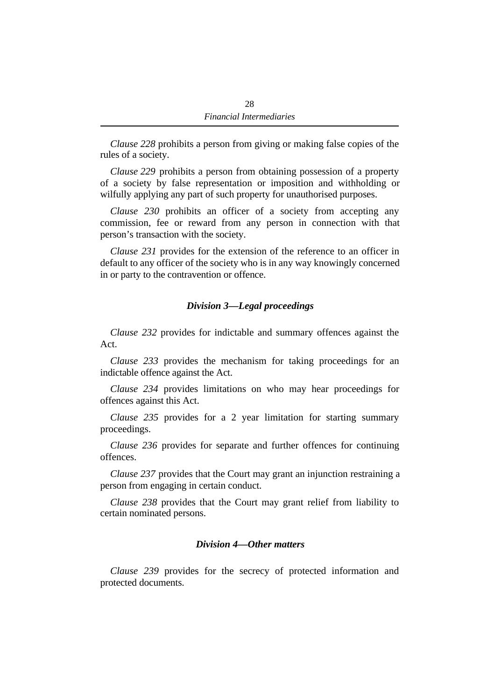*Clause 228* prohibits a person from giving or making false copies of the rules of a society.

*Clause 229* prohibits a person from obtaining possession of a property of a society by false representation or imposition and withholding or wilfully applying any part of such property for unauthorised purposes.

*Clause 230* prohibits an officer of a society from accepting any commission, fee or reward from any person in connection with that person's transaction with the society.

*Clause 231* provides for the extension of the reference to an officer in default to any officer of the society who is in any way knowingly concerned in or party to the contravention or offence.

### *Division 3—Legal proceedings*

*Clause 232* provides for indictable and summary offences against the Act.

*Clause 233* provides the mechanism for taking proceedings for an indictable offence against the Act.

*Clause 234* provides limitations on who may hear proceedings for offences against this Act.

*Clause 235* provides for a 2 year limitation for starting summary proceedings.

*Clause 236* provides for separate and further offences for continuing offences.

*Clause 237* provides that the Court may grant an injunction restraining a person from engaging in certain conduct.

*Clause 238* provides that the Court may grant relief from liability to certain nominated persons.

### *Division 4—Other matters*

*Clause 239* provides for the secrecy of protected information and protected documents.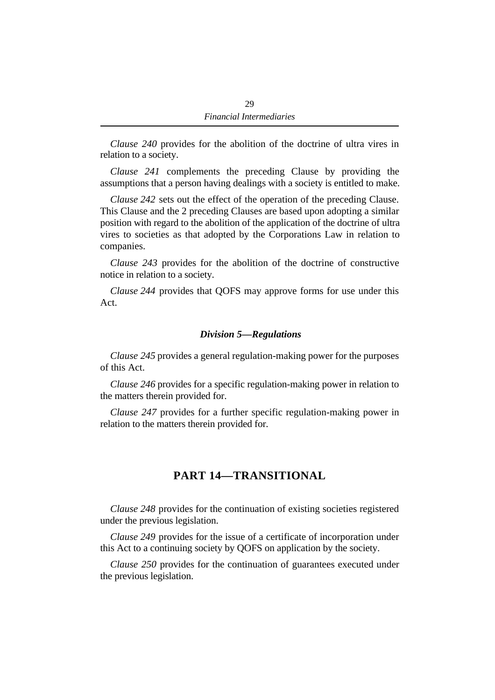*Clause 240* provides for the abolition of the doctrine of ultra vires in relation to a society.

*Clause 241* complements the preceding Clause by providing the assumptions that a person having dealings with a society is entitled to make.

*Clause 242* sets out the effect of the operation of the preceding Clause. This Clause and the 2 preceding Clauses are based upon adopting a similar position with regard to the abolition of the application of the doctrine of ultra vires to societies as that adopted by the Corporations Law in relation to companies.

*Clause 243* provides for the abolition of the doctrine of constructive notice in relation to a society.

*Clause 244* provides that QOFS may approve forms for use under this Act.

#### *Division 5—Regulations*

*Clause 245* provides a general regulation-making power for the purposes of this Act.

*Clause 246* provides for a specific regulation-making power in relation to the matters therein provided for.

*Clause 247* provides for a further specific regulation-making power in relation to the matters therein provided for.

# **PART 14—TRANSITIONAL**

*Clause 248* provides for the continuation of existing societies registered under the previous legislation.

*Clause 249* provides for the issue of a certificate of incorporation under this Act to a continuing society by QOFS on application by the society.

*Clause 250* provides for the continuation of guarantees executed under the previous legislation.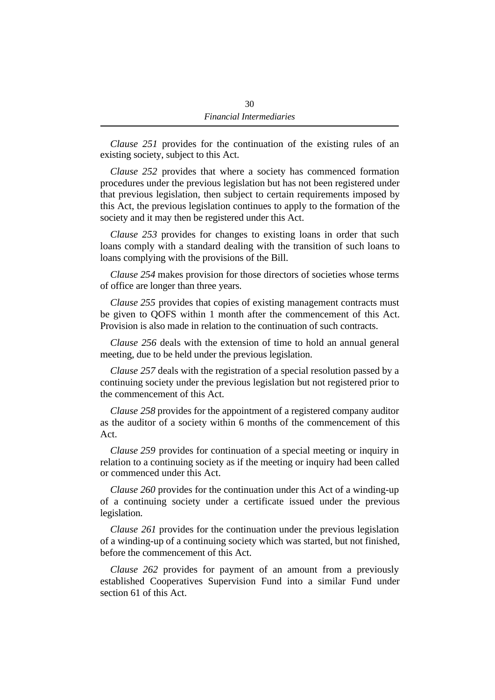*Clause 251* provides for the continuation of the existing rules of an existing society, subject to this Act.

*Clause 252* provides that where a society has commenced formation procedures under the previous legislation but has not been registered under that previous legislation, then subject to certain requirements imposed by this Act, the previous legislation continues to apply to the formation of the society and it may then be registered under this Act.

*Clause 253* provides for changes to existing loans in order that such loans comply with a standard dealing with the transition of such loans to loans complying with the provisions of the Bill.

*Clause 254* makes provision for those directors of societies whose terms of office are longer than three years.

*Clause 255* provides that copies of existing management contracts must be given to QOFS within 1 month after the commencement of this Act. Provision is also made in relation to the continuation of such contracts.

*Clause 256* deals with the extension of time to hold an annual general meeting, due to be held under the previous legislation.

*Clause 257* deals with the registration of a special resolution passed by a continuing society under the previous legislation but not registered prior to the commencement of this Act.

*Clause 258* provides for the appointment of a registered company auditor as the auditor of a society within 6 months of the commencement of this Act.

*Clause 259* provides for continuation of a special meeting or inquiry in relation to a continuing society as if the meeting or inquiry had been called or commenced under this Act.

*Clause 260* provides for the continuation under this Act of a winding-up of a continuing society under a certificate issued under the previous legislation.

*Clause 261* provides for the continuation under the previous legislation of a winding-up of a continuing society which was started, but not finished, before the commencement of this Act.

*Clause 262* provides for payment of an amount from a previously established Cooperatives Supervision Fund into a similar Fund under section 61 of this Act.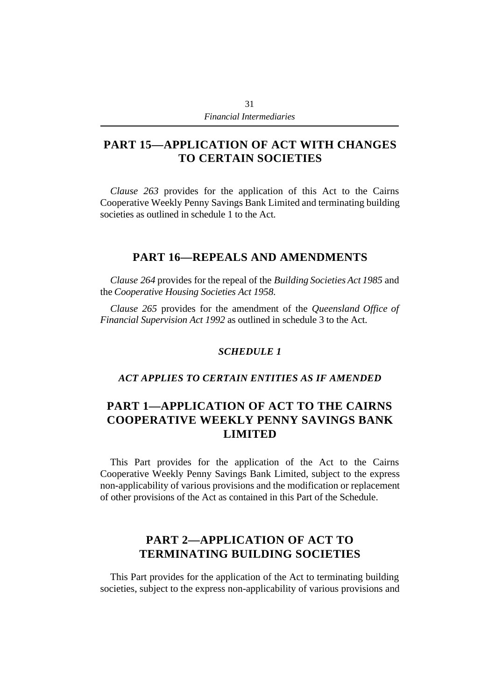# **PART 15—APPLICATION OF ACT WITH CHANGES TO CERTAIN SOCIETIES**

*Clause 263* provides for the application of this Act to the Cairns Cooperative Weekly Penny Savings Bank Limited and terminating building societies as outlined in schedule 1 to the Act.

# **PART 16—REPEALS AND AMENDMENTS**

*Clause 264* provides for the repeal of the *Building Societies Act 1985* and the *Cooperative Housing Societies Act 1958*.

*Clause 265* provides for the amendment of the *Queensland Office of Financial Supervision Act 1992* as outlined in schedule 3 to the Act.

### *SCHEDULE 1*

### *ACT APPLIES TO CERTAIN ENTITIES AS IF AMENDED*

# **PART 1—APPLICATION OF ACT TO THE CAIRNS COOPERATIVE WEEKLY PENNY SAVINGS BANK LIMITED**

This Part provides for the application of the Act to the Cairns Cooperative Weekly Penny Savings Bank Limited, subject to the express non-applicability of various provisions and the modification or replacement of other provisions of the Act as contained in this Part of the Schedule.

# **PART 2—APPLICATION OF ACT TO TERMINATING BUILDING SOCIETIES**

This Part provides for the application of the Act to terminating building societies, subject to the express non-applicability of various provisions and